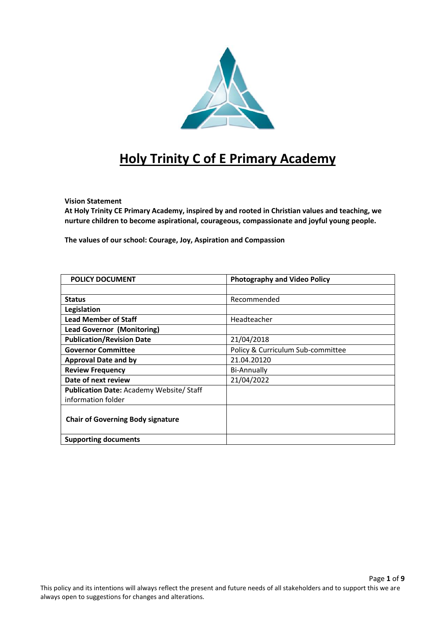

# **Holy Trinity C of E Primary Academy**

#### **Vision Statement**

**At Holy Trinity CE Primary Academy, inspired by and rooted in Christian values and teaching, we nurture children to become aspirational, courageous, compassionate and joyful young people.**

**The values of our school: Courage, Joy, Aspiration and Compassion**

| <b>POLICY DOCUMENT</b>                         | <b>Photography and Video Policy</b> |
|------------------------------------------------|-------------------------------------|
|                                                |                                     |
| <b>Status</b>                                  | Recommended                         |
| Legislation                                    |                                     |
| <b>Lead Member of Staff</b>                    | Headteacher                         |
| <b>Lead Governor (Monitoring)</b>              |                                     |
| <b>Publication/Revision Date</b>               | 21/04/2018                          |
| <b>Governor Committee</b>                      | Policy & Curriculum Sub-committee   |
| <b>Approval Date and by</b>                    | 21.04.20120                         |
| <b>Review Frequency</b>                        | <b>Bi-Annually</b>                  |
| Date of next review                            | 21/04/2022                          |
| <b>Publication Date: Academy Website/Staff</b> |                                     |
| information folder                             |                                     |
| <b>Chair of Governing Body signature</b>       |                                     |
| <b>Supporting documents</b>                    |                                     |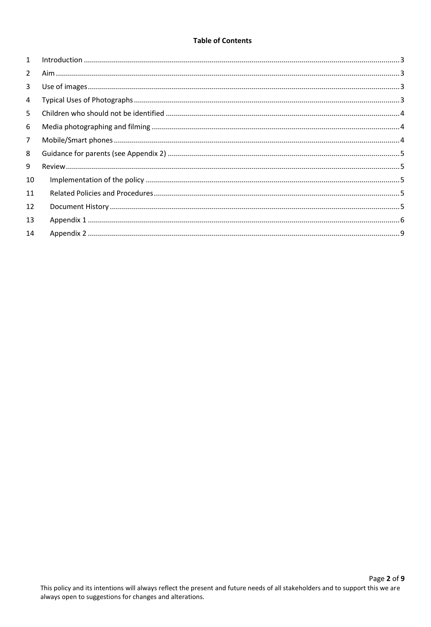## **Table of Contents**

| $\mathbf{1}$   |  |
|----------------|--|
| $\overline{2}$ |  |
| 3              |  |
| $\overline{4}$ |  |
| 5              |  |
| 6              |  |
| $\overline{7}$ |  |
| 8              |  |
| 9              |  |
| 10             |  |
| 11             |  |
| 12             |  |
| 13             |  |
| 14             |  |
|                |  |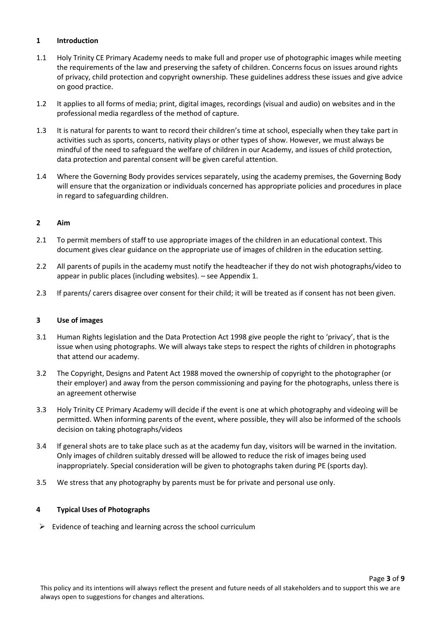### <span id="page-2-0"></span>**1 Introduction**

- 1.1 Holy Trinity CE Primary Academy needs to make full and proper use of photographic images while meeting the requirements of the law and preserving the safety of children. Concerns focus on issues around rights of privacy, child protection and copyright ownership. These guidelines address these issues and give advice on good practice.
- 1.2 It applies to all forms of media; print, digital images, recordings (visual and audio) on websites and in the professional media regardless of the method of capture.
- 1.3 It is natural for parents to want to record their children's time at school, especially when they take part in activities such as sports, concerts, nativity plays or other types of show. However, we must always be mindful of the need to safeguard the welfare of children in our Academy, and issues of child protection, data protection and parental consent will be given careful attention.
- 1.4 Where the Governing Body provides services separately, using the academy premises, the Governing Body will ensure that the organization or individuals concerned has appropriate policies and procedures in place in regard to safeguarding children.

#### <span id="page-2-1"></span>**2 Aim**

- 2.1 To permit members of staff to use appropriate images of the children in an educational context. This document gives clear guidance on the appropriate use of images of children in the education setting.
- 2.2 All parents of pupils in the academy must notify the headteacher if they do not wish photographs/video to appear in public places (including websites). – see Appendix 1.
- <span id="page-2-2"></span>2.3 If parents/ carers disagree over consent for their child; it will be treated as if consent has not been given.

## **3 Use of images**

- 3.1 Human Rights legislation and the Data Protection Act 1998 give people the right to 'privacy', that is the issue when using photographs. We will always take steps to respect the rights of children in photographs that attend our academy.
- 3.2 The Copyright, Designs and Patent Act 1988 moved the ownership of copyright to the photographer (or their employer) and away from the person commissioning and paying for the photographs, unless there is an agreement otherwise
- 3.3 Holy Trinity CE Primary Academy will decide if the event is one at which photography and videoing will be permitted. When informing parents of the event, where possible, they will also be informed of the schools decision on taking photographs/videos
- 3.4 If general shots are to take place such as at the academy fun day, visitors will be warned in the invitation. Only images of children suitably dressed will be allowed to reduce the risk of images being used inappropriately. Special consideration will be given to photographs taken during PE (sports day).
- <span id="page-2-3"></span>3.5 We stress that any photography by parents must be for private and personal use only.

## **4 Typical Uses of Photographs**

 $\triangleright$  Evidence of teaching and learning across the school curriculum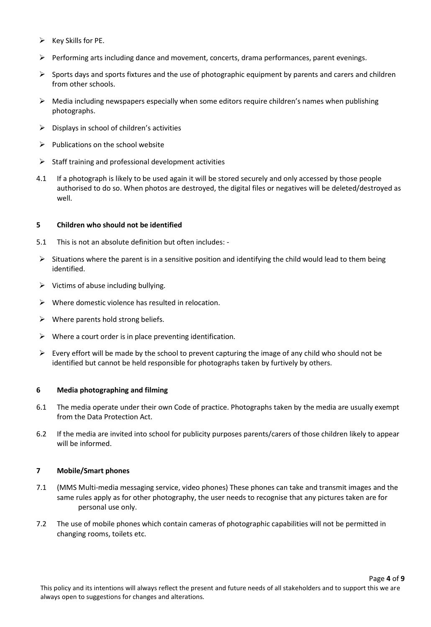- $\triangleright$  Key Skills for PE.
- $\triangleright$  Performing arts including dance and movement, concerts, drama performances, parent evenings.
- $\triangleright$  Sports days and sports fixtures and the use of photographic equipment by parents and carers and children from other schools.
- $\triangleright$  Media including newspapers especially when some editors require children's names when publishing photographs.
- $\triangleright$  Displays in school of children's activities
- $\triangleright$  Publications on the school website
- $\triangleright$  Staff training and professional development activities
- 4.1 If a photograph is likely to be used again it will be stored securely and only accessed by those people authorised to do so. When photos are destroyed, the digital files or negatives will be deleted/destroyed as well.

## <span id="page-3-0"></span>**5 Children who should not be identified**

- 5.1 This is not an absolute definition but often includes: -
- $\triangleright$  Situations where the parent is in a sensitive position and identifying the child would lead to them being identified.
- $\triangleright$  Victims of abuse including bullying.
- $\triangleright$  Where domestic violence has resulted in relocation.
- $\triangleright$  Where parents hold strong beliefs.
- $\triangleright$  Where a court order is in place preventing identification.
- $\triangleright$  Every effort will be made by the school to prevent capturing the image of any child who should not be identified but cannot be held responsible for photographs taken by furtively by others.

## <span id="page-3-1"></span>**6 Media photographing and filming**

- 6.1 The media operate under their own Code of practice. Photographs taken by the media are usually exempt from the Data Protection Act.
- 6.2 If the media are invited into school for publicity purposes parents/carers of those children likely to appear will be informed.

## <span id="page-3-2"></span>**7 Mobile/Smart phones**

- 7.1 (MMS Multi-media messaging service, video phones) These phones can take and transmit images and the same rules apply as for other photography, the user needs to recognise that any pictures taken are for personal use only.
- 7.2 The use of mobile phones which contain cameras of photographic capabilities will not be permitted in changing rooms, toilets etc.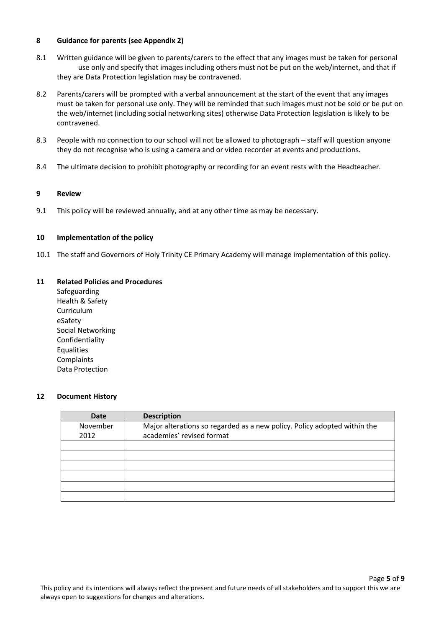#### <span id="page-4-0"></span>**8 Guidance for parents (see Appendix 2)**

- 8.1 Written guidance will be given to parents/carers to the effect that any images must be taken for personal use only and specify that images including others must not be put on the web/internet, and that if they are Data Protection legislation may be contravened.
- 8.2 Parents/carers will be prompted with a verbal announcement at the start of the event that any images must be taken for personal use only. They will be reminded that such images must not be sold or be put on the web/internet (including social networking sites) otherwise Data Protection legislation is likely to be contravened.
- 8.3 People with no connection to our school will not be allowed to photograph staff will question anyone they do not recognise who is using a camera and or video recorder at events and productions.
- <span id="page-4-1"></span>8.4 The ultimate decision to prohibit photography or recording for an event rests with the Headteacher.

#### **9 Review**

<span id="page-4-2"></span>9.1 This policy will be reviewed annually, and at any other time as may be necessary.

#### **10 Implementation of the policy**

<span id="page-4-3"></span>10.1 The staff and Governors of Holy Trinity CE Primary Academy will manage implementation of this policy.

#### **11 Related Policies and Procedures**

Safeguarding Health & Safety Curriculum eSafety Social Networking Confidentiality Equalities **Complaints** Data Protection

#### <span id="page-4-4"></span>**12 Document History**

| <b>Date</b> | <b>Description</b>                                                       |
|-------------|--------------------------------------------------------------------------|
| November    | Major alterations so regarded as a new policy. Policy adopted within the |
| 2012        | academies' revised format                                                |
|             |                                                                          |
|             |                                                                          |
|             |                                                                          |
|             |                                                                          |
|             |                                                                          |
|             |                                                                          |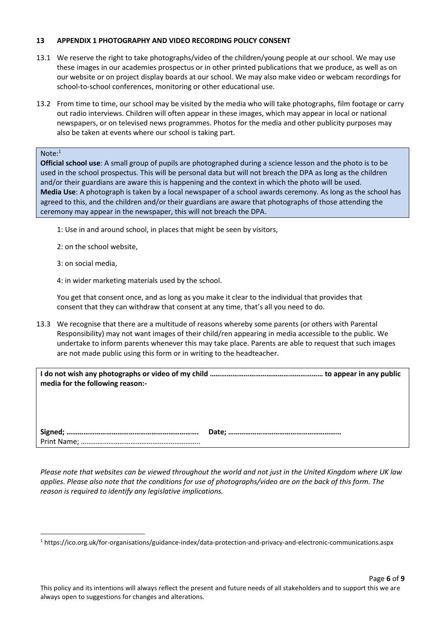#### <span id="page-5-0"></span>**13 APPENDIX 1 PHOTOGRAPHY AND VIDEO RECORDING POLICY CONSENT**

- 13.1 We reserve the right to take photographs/video of the children/young people at our school. We may use these images in our academies prospectus or in other printed publications that we produce, as well as on our website or on project display boards at our school. We may also make video or webcam recordings for school-to-school conferences, monitoring or other educational use.
- 13.2 From time to time, our school may be visited by the media who will take photographs, film footage or carry out radio interviews. Children will often appear in these images, which may appear in local or national newspapers, or on televised news programmes. Photos for the media and other publicity purposes may also be taken at events where our school is taking part.

## Note:<sup>1</sup>

 $\overline{a}$ 

**Official school use**: A small group of pupils are photographed during a science lesson and the photo is to be used in the school prospectus. This will be personal data but will not breach the DPA as long as the children and/or their guardians are aware this is happening and the context in which the photo will be used. **Media Use**: A photograph is taken by a local newspaper of a school awards ceremony. As long as the school has agreed to this, and the children and/or their guardians are aware that photographs of those attending the ceremony may appear in the newspaper, this will not breach the DPA.

- 1: Use in and around school, in places that might be seen by visitors,
- 2: on the school website,
- 3: on social media,
- 4: in wider marketing materials used by the school.

You get that consent once, and as long as you make it clear to the individual that provides that consent that they can withdraw that consent at any time, that's all you need to do.

13.3 We recognise that there are a multitude of reasons whereby some parents (or others with Parental Responsibility) may not want images of their child/ren appearing in media accessible to the public. We undertake to inform parents whenever this may take place. Parents are able to request that such images are not made public using this form or in writing to the headteacher.

| media for the following reason:- |  |
|----------------------------------|--|
|                                  |  |
|                                  |  |

*Please note that websites can be viewed throughout the world and not just in the United Kingdom where UK law applies. Please also note that the conditions for use of photographs/video are on the back of this form. The reason is required to identify any legislative implications.*

<sup>1</sup> https://ico.org.uk/for-organisations/guidance-index/data-protection-and-privacy-and-electronic-communications.aspx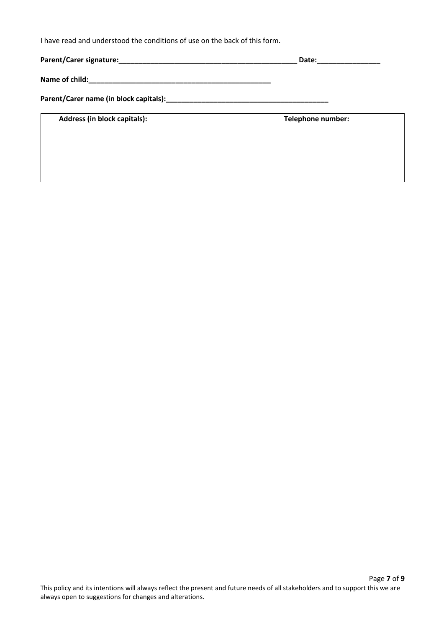I have read and understood the conditions of use on the back of this form.

|                              | Date:                    |  |  |
|------------------------------|--------------------------|--|--|
|                              |                          |  |  |
|                              |                          |  |  |
| Address (in block capitals): | <b>Telephone number:</b> |  |  |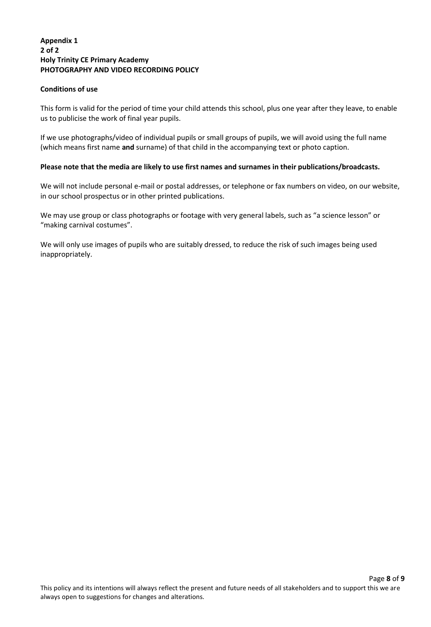## **Appendix 1 2 of 2 Holy Trinity CE Primary Academy PHOTOGRAPHY AND VIDEO RECORDING POLICY**

## **Conditions of use**

This form is valid for the period of time your child attends this school, plus one year after they leave, to enable us to publicise the work of final year pupils.

If we use photographs/video of individual pupils or small groups of pupils, we will avoid using the full name (which means first name **and** surname) of that child in the accompanying text or photo caption.

## **Please note that the media are likely to use first names and surnames in their publications/broadcasts.**

We will not include personal e-mail or postal addresses, or telephone or fax numbers on video, on our website, in our school prospectus or in other printed publications.

We may use group or class photographs or footage with very general labels, such as "a science lesson" or "making carnival costumes".

We will only use images of pupils who are suitably dressed, to reduce the risk of such images being used inappropriately.